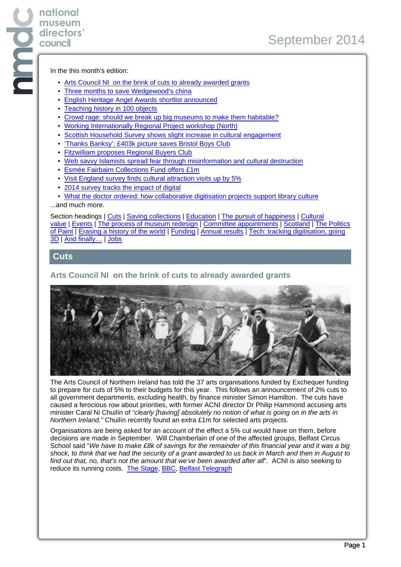In the this month's edition:

**national museum directors' council**

- Arts Council NI on the brink of cuts to already awarded grants
- Three months to save Wedgewood's china
- English Heritage Angel Awards shortlist announced
- Teaching history in 100 objects
- Crowd rage: should we break up big museums to make them habitable?
- Working Internationally Regional Project workshop (North)
- Scottish Household Survey shows slight increase in cultural engagement
- 'Thanks Banksy': £403k picture saves Bristol Boys Club
- Fitzwilliam proposes Regional Buyers Club
- Web savvy Islamists spread fear through misinformation and cultural destruction
- Esmée Fairbairn Collections Fund offers £1m
- Visit England survey finds cultural attraction visits up by 5%
- 2014 survey tracks the impact of digital
- What the doctor ordered: how collaborative digitisation projects support library culture

...and much more.

Section headings | Cuts | Saving collections | Education | The pursuit of happiness | Cultural value | Events | The process of museum redesign | Committee appointments | Scotland | The Politics of Paint | Erasing a history of the world | Funding | Annual results | Tech: tracking digitisation, going 3D | And finally… | Jobs

## **Cuts**

## **Arts Council NI on the brink of cuts to already awarded grants**



The Arts Council of Northern Ireland has told the 37 arts organisations funded by Exchequer funding to prepare for cuts of 5% to their budgets for this year. This follows an announcement of 2% cuts to all government departments, excluding health, by finance minister Simon Hamilton. The cuts have caused a ferocious row about priorities, with former ACNI director Dr Philip Hammond accusing arts minister Caral Ni Chuilín of "clearly [having] absolutely no notion of what is going on in the arts in Northern Ireland." Chuilín recently found an extra £1m for selected arts projects.

Organisations are being asked for an account of the effect a 5% cut would have on them, before decisions are made in September. Will Chamberlain of one of the affected groups, Belfast Circus School said "We have to make £8k of savings for the remainder of this financial year and it was a big shock, to think that we had the security of a grant awarded to us back in March and then in August to find out that, no, that's not the amount that we've been awarded after all". ACNI is also seeking to reduce its running costs. [The Stage,](http://www.thestage.co.uk/news/2014/08/northern-ireland-arts-braced-5-cuts/) [BBC,](http://www.bbc.co.uk/news/uk-northern-ireland-28806827) [Belfast Telegraph](http://www.belfasttelegraph.co.uk/debateni/blogs/fionola-meredith/worth-of-the-arts-cannot-be-judged-by-cash-it-makes-30545090.html)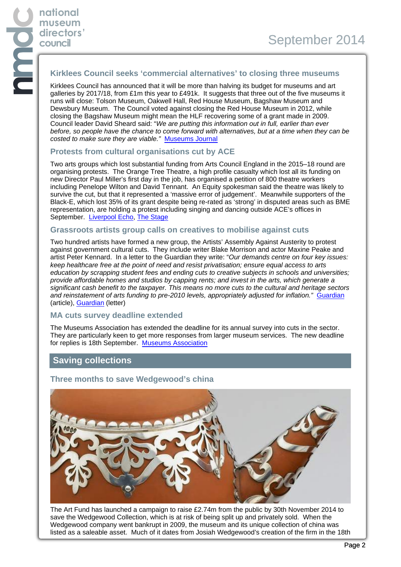#### **Kirklees Council seeks 'commercial alternatives' to closing three museums**

Kirklees Council has announced that it will be more than halving its budget for museums and art galleries by 2017/18, from £1m this year to £491k. It suggests that three out of the five museums it runs will close: Tolson Museum, Oakwell Hall, Red House Museum, Bagshaw Museum and Dewsbury Museum. The Council voted against closing the Red House Museum in 2012, while closing the Bagshaw Museum might mean the HLF recovering some of a grant made in 2009. Council leader David Sheard said: "We are putting this information out in full, earlier than ever before, so people have the chance to come forward with alternatives, but at a time when they can be costed to make sure they are viable." [Museums Journal](http://www.museumsassociation.org/museums-journal/news/18082014-kirklees-council-proposes-closing-three-museums)

#### **Protests from cultural organisations cut by ACE**

Two arts groups which lost substantial funding from Arts Council England in the 2015–18 round are organising protests. The Orange Tree Theatre, a high profile casualty which lost all its funding on new Director Paul Miller's first day in the job, has organised a petition of 800 theatre workers including Penelope Wilton and David Tennant. An Equity spokesman said the theatre was likely to survive the cut, but that it represented a 'massive error of judgement'. Meanwhile supporters of the Black-E, which lost 35% of its grant despite being re-rated as 'strong' in disputed areas such as BME representation, are holding a protest including singing and dancing outside ACE's offices in September. [Liverpool Echo](http://www.liverpoolecho.co.uk/news/black-e-protests-london-over-35-7684978), [The Stage](http://www.thestage.co.uk/news/2014/08/actors-accuse-arts-council-massive-error-orange-tree/)

#### **Grassroots artists group calls on creatives to mobilise against cuts**

Two hundred artists have formed a new group, the Artists' Assembly Against Austerity to protest against government cultural cuts. They include writer Blake Morrison and actor Maxine Peake and artist Peter Kennard. In a letter to the Guardian they write: "Our demands centre on four key issues: keep healthcare free at the point of need and resist privatisation; ensure equal access to arts education by scrapping student fees and ending cuts to creative subjects in schools and universities; provide affordable homes and studios by capping rents; and invest in the arts, which generate a significant cash benefit to the taxpayer. This means no more cuts to the cultural and heritage sectors and reinstatement of arts funding to pre-2010 levels, appropriately adjusted for inflation." [Guardian](http://www.theguardian.com/society/2014/aug/27/artists-against-austerity-campaign-against-cuts-china-mieville-grace-petrie-peter-kennard-bragg) (article), [Guardian](http://www.theguardian.com/culture/2014/aug/27/artists-fight-back-against-cuts) (letter)

# **MA cuts survey deadline extended**

The Museums Association has extended the deadline for its annual survey into cuts in the sector. They are particularly keen to get more responses from larger museum services. The new deadline for replies is 18th September. [Museums Association](http://museumsassociation.org/forms/cuts-survey-2014)

# **Saving collections**

#### **Three months to save Wedgewood's china**



The Art Fund has launched a campaign to raise £2.74m from the public by 30th November 2014 to save the Wedgewood Collection, which is at risk of being split up and privately sold. When the Wedgewood company went bankrupt in 2009, the museum and its unique collection of china was listed as a saleable asset. Much of it dates from Josiah Wedgewood's creation of the firm in the 18th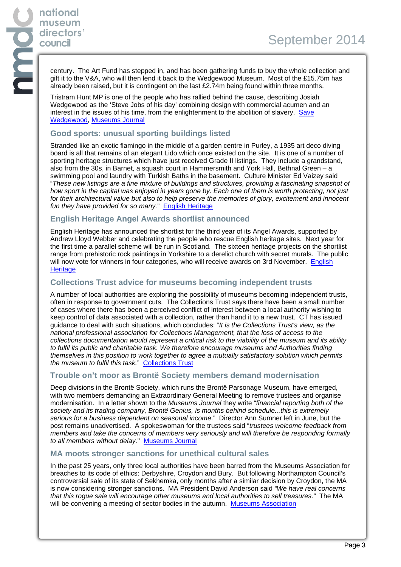century. The Art Fund has stepped in, and has been gathering funds to buy the whole collection and gift it to the V&A, who will then lend it back to the Wedgewood Museum. Most of the £15.75m has already been raised, but it is contingent on the last £2.74m being found within three months.

Tristram Hunt MP is one of the people who has rallied behind the cause, describing Josiah Wedgewood as the 'Steve Jobs of his day' combining design with commercial acumen and an interest in the issues of his time, from the enlightenment to the abolition of slavery. [Save](http://www.savewedgwood.org/) [Wedgewood](http://www.savewedgwood.org/), [Museums Journal](http://www.museumsassociation.org/museums-journal/news/02092014-art-fund-launches-appeal-to-save-wedgwood-collection)

## **Good sports: unusual sporting buildings listed**

Stranded like an exotic flamingo in the middle of a garden centre in Purley, a 1935 art deco diving board is all that remains of an elegant Lido which once existed on the site. It is one of a number of sporting heritage structures which have just received Grade II listings. They include a grandstand, also from the 30s, in Barnet, a squash court in Hammersmith and York Hall, Bethnal Green – a swimming pool and laundry with Turkish Baths in the basement. Culture Minister Ed Vaizey said "These new listings are a fine mixture of buildings and structures, providing a fascinating snapshot of how sport in the capital was enjoyed in years gone by. Each one of them is worth protecting, not just for their architectural value but also to help preserve the memories of glory, excitement and innocent fun they have provided for so many." [English Heritage](http://www.english-heritage.org.uk/about/news/celebrating-londons-sporting-heritage/)

# **English Heritage Angel Awards shortlist announced**

English Heritage has announced the shortlist for the third year of its Angel Awards, supported by Andrew Lloyd Webber and celebrating the people who rescue English heritage sites. Next year for the first time a parallel scheme will be run in Scotland. The sixteen heritage projects on the shortlist range from prehistoric rock paintings in Yorkshire to a derelict church with secret murals. The public will now vote for winners in four categories, who will receive awards on 3rd November. [English](http://www.english-heritage.org.uk/about/news/andrew-lloyd-webber-hails-heroes-of-heritage/) **[Heritage](http://www.english-heritage.org.uk/about/news/andrew-lloyd-webber-hails-heroes-of-heritage/)** 

#### **Collections Trust advice for museums becoming independent trusts**

A number of local authorities are exploring the possibility of museums becoming independent trusts, often in response to government cuts. The Collections Trust says there have been a small number of cases where there has been a perceived conflict of interest between a local authority wishing to keep control of data associated with a collection, rather than hand it to a new trust. CT has issued guidance to deal with such situations, which concludes: "It is the Collections Trust's view, as the national professional association for Collections Management, that the loss of access to the collections documentation would represent a critical risk to the viability of the museum and its ability to fulfil its public and charitable task. We therefore encourage museums and Authorities finding themselves in this position to work together to agree a mutually satisfactory solution which permits the museum to fulfil this task." [Collections Trust](http://www.collectionstrust.org.uk/collections-link/documentation-transfer)

#### **Trouble on't moor as Brontë Society members demand modernisation**

Deep divisions in the Brontë Society, which runs the Brontë Parsonage Museum, have emerged, with two members demanding an Extraordinary General Meeting to remove trustees and organise modernisation. In a letter shown to the Museums Journal they write "financial reporting both of the society and its trading company, Brontë Genius, is months behind schedule...this is extremely serious for a business dependent on seasonal income." Director Ann Sumner left in June, but the post remains unadvertised. A spokeswoman for the trustees said "trustees welcome feedback from members and take the concerns of members very seriously and will therefore be responding formally to all members without delay." [Museums Journal](http://www.museumsassociation.org/museums-journal/news/27082014-bronte-society-in-turmoil)

#### **MA moots stronger sanctions for unethical cultural sales**

In the past 25 years, only three local authorities have been barred from the Museums Association for breaches to its code of ethics: Derbyshire, Croydon and Bury. But following Northampton Council's controversial sale of its state of Sekhemka, only months after a similar decision by Croydon, the MA is now considering stronger sanctions. MA President David Anderson said "We have real concerns that this rogue sale will encourage other museums and local authorities to sell treasures." The MA will be convening a meeting of sector bodies in the autumn. [Museums Association](http://www.museumsassociation.org/museums-journal/news/18082014-should-there-be-tougher-sanctions-for-museums-that-break-the-code-of-ethcis)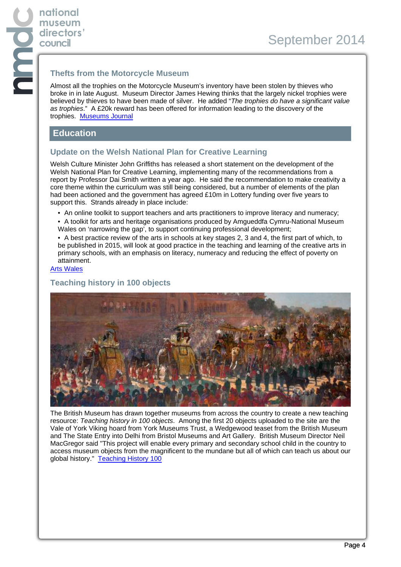# **Thefts from the Motorcycle Museum**

Almost all the trophies on the Motorcycle Museum's inventory have been stolen by thieves who broke in in late August. Museum Director James Hewing thinks that the largely nickel trophies were believed by thieves to have been made of silver. He added "The trophies do have a significant value as trophies." A £20k reward has been offered for information leading to the discovery of the trophies. [Museums Journal](http://www.museumsassociation.org/museums-journal/news/02092014-trophies-stolen-from-national-motorcycle-museum)

# **Education**

# **Update on the Welsh National Plan for Creative Learning**

Welsh Culture Minister John Griffiths has released a short statement on the development of the Welsh National Plan for Creative Learning, implementing many of the recommendations from a report by Professor Dai Smith written a year ago. He said the recommendation to make creativity a core theme within the curriculum was still being considered, but a number of elements of the plan had been actioned and the government has agreed £10m in Lottery funding over five years to support this. Strands already in place include:

- An online toolkit to support teachers and arts practitioners to improve literacy and numeracy;
- A toolkit for arts and heritage organisations produced by Amgueddfa Cymru-National Museum Wales on 'narrowing the gap', to support continuing professional development;
- A best practice review of the arts in schools at key stages 2, 3 and 4, the first part of which, to be published in 2015, will look at good practice in the teaching and learning of the creative arts in primary schools, with an emphasis on literacy, numeracy and reducing the effect of poverty on attainment.

[Arts Wales](http://www.artswales.org.uk/73464)

# **Teaching history in 100 objects**



The British Museum has drawn together museums from across the country to create a new teaching resource: Teaching history in 100 objects. Among the first 20 objects uploaded to the site are the Vale of York Viking hoard from York Museums Trust, a Wedgewood teaset from the British Museum and The State Entry into Delhi from Bristol Museums and Art Gallery. British Museum Director Neil MacGregor said "This project will enable every primary and secondary school child in the country to access museum objects from the magnificent to the mundane but all of which can teach us about our global history." [Teaching History 100](http://www.teachinghistory100.org/)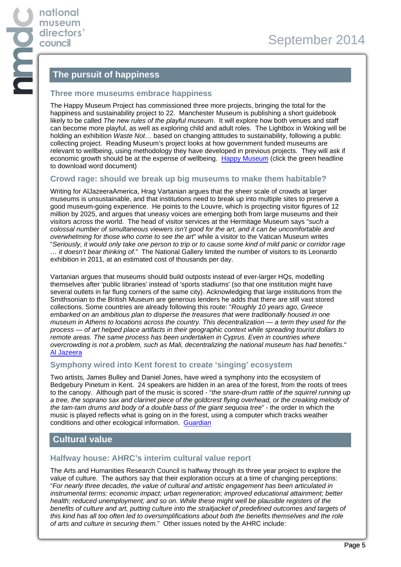# **The pursuit of happiness**

# **Three more museums embrace happiness**

The Happy Museum Project has commissioned three more projects, bringing the total for the happiness and sustainability project to 22. Manchester Museum is publishing a short guidebook likely to be called The new rules of the playful museum. It will explore how both venues and staff can become more playful, as well as exploring child and adult roles. The Lightbox in Woking will be holding an exhibition Waste Not... based on changing attitudes to sustainability, following a public collecting project. Reading Museum's project looks at how government funded museums are relevant to wellbeing, using methodology they have developed in previous projects. They will ask if economic growth should be at the expense of wellbeing. [Happy Museum](http://www.happymuseumproject.org/?attachment_id=2480&utm_content=n_g_mann%40hotmail.com&utm_source=VerticalResponse&utm_medium=Email&utm_term=HERE&utm_campaign=Happy%20Museum%20-%20New%20Commissioned%20Projects%20and%20Other%20News) (click the green headline to download word document)

# **Crowd rage: should we break up big museums to make them habitable?**

Writing for AlJazeeraAmerica, Hrag Vartanian argues that the sheer scale of crowds at larger museums is unsustainable, and that institutions need to break up into multiple sites to preserve a good museum-going experience. He points to the Louvre, which is projecting visitor figures of 12 million by 2025, and argues that uneasy voices are emerging both from large museums and their visitors across the world. The head of visitor services at the Hermitage Museum says "such a colossal number of simultaneous viewers isn't good for the art, and it can be uncomfortable and overwhelming for those who come to see the art" while a visitor to the Vatican Museum writes "Seriously, it would only take one person to trip or to cause some kind of mild panic or corridor rage … it doesn't bear thinking of." The National Gallery limited the number of visitors to its Leonardo exhibition in 2011, at an estimated cost of thousands per day.

Vartanian argues that museums should build outposts instead of ever-larger HQs, modelling themselves after 'public libraries' instead of 'sports stadiums' (so that one institution might have several outlets in far flung corners of the same city). Acknowledging that large institutions from the Smithsonian to the British Museum are generous lenders he adds that there are still vast stored collections. Some countries are already following this route: "Roughly 10 years ago, Greece embarked on an ambitious plan to disperse the treasures that were traditionally housed in one museum in Athens to locations across the country. This decentralization — a term they used for the process — of art helped place artifacts in their geographic context while spreading tourist dollars to remote areas. The same process has been undertaken in Cyprus. Even in countries where overcrowding is not a problem, such as Mali, decentralizing the national museum has had benefits." [Al Jazeera](http://america.aljazeera.com/opinions/2014/8/culture-art-overcrowdedmuseumsdecentralization.html)

# **Symphony wired into Kent forest to create 'singing' ecosystem**

Two artists, James Bulley and Daniel Jones, have wired a symphony into the ecosystem of Bedgebury Pinetum in Kent. 24 speakers are hidden in an area of the forest, from the roots of trees to the canopy. Although part of the music is scored - "the snare-drum rattle of the squirrel running up a tree, the soprano sax and clarinet piece of the goldcrest flying overhead, or the creaking melody of the tam-tam drums and body of a double bass of the giant sequoia tree" - the order in which the music is played reflects what is going on in the forest, using a computer which tracks weather conditions and other ecological information. [Guardian](http://www.theguardian.com/music/2014/aug/28/living-symphonies-james-bulley-daniel-jones-forest-orchestra)

# **Cultural value**

# **Halfway house: AHRC's interim cultural value report**

The Arts and Humanities Research Council is halfway through its three year project to explore the value of culture. The authors say that their exploration occurs at a time of changing perceptions: "For nearly three decades, the value of cultural and artistic engagement has been articulated in instrumental terms: economic impact; urban regeneration; improved educational attainment; better health; reduced unemployment; and so on. While these might well be plausible registers of the benefits of culture and art, putting culture into the straitjacket of predefined outcomes and targets of this kind has all too often led to oversimplifications about both the benefits themselves and the role of arts and culture in securing them." Other issues noted by the AHRC include: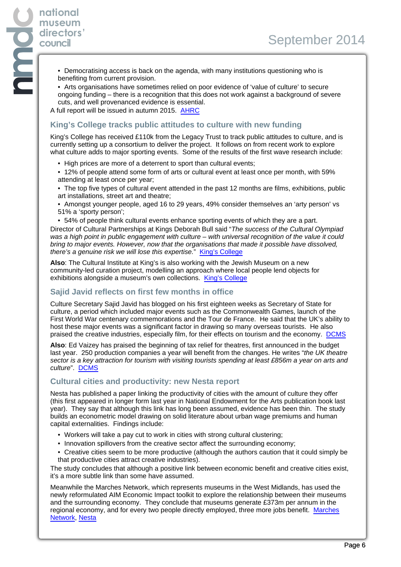**national museum directors' council**

- Democratising access is back on the agenda, with many institutions questioning who is benefiting from current provision.
- Arts organisations have sometimes relied on poor evidence of 'value of culture' to secure ongoing funding – there is a recognition that this does not work against a background of severe cuts, and well provenanced evidence is essential.

A full report will be issued in autumn 2015. [AHRC](http://www.ahrc.ac.uk/Funded-Research/Funded-themes-and-programmes/Cultural-Value-Project/Pages/Mid-Term-Report.aspx)

## **King's College tracks public attitudes to culture with new funding**

King's College has received £110k from the Legacy Trust to track public attitudes to culture, and is currently setting up a consortium to deliver the project. It follows on from recent work to explore what culture adds to major sporting events. Some of the results of the first wave research include:

- High prices are more of a deterrent to sport than cultural events;
- 12% of people attend some form of arts or cultural event at least once per month, with 59% attending at least once per year;
- The top five types of cultural event attended in the past 12 months are films, exhibitions, public art installations, street art and theatre;
- Amongst younger people, aged 16 to 29 years, 49% consider themselves an 'arty person' vs 51% a 'sporty person';
- 54% of people think cultural events enhance sporting events of which they are a part.

Director of Cultural Partnerships at Kings Deborah Bull said "The success of the Cultural Olympiad was a high point in public engagement with culture – with universal recognition of the value it could bring to major events. However, now that the organisations that made it possible have dissolved, there's a genuine risk we will lose this expertise." [King's College](http://www.kcl.ac.uk/cultural/newsrecords/140830-cme-tracking-study.aspx)

**Also**: The Cultural Institute at King's is also working with the Jewish Museum on a new community-led curation project, modelling an approach where local people lend objects for exhibitions alongside a museum's own collections. [King's College](http://www.kcl.ac.uk/cultural/newsrecords/140813-your-jewish-museum.aspx)

# **Sajid Javid reflects on first few months in office**

Culture Secretary Sajid Javid has blogged on his first eighteen weeks as Secretary of State for culture, a period which included major events such as the Commonwealth Games, launch of the First World War centenary commemorations and the Tour de France. He said that the UK's ability to host these major events was a significant factor in drawing so many overseas tourists. He also praised the creative industries, especially film, for their effects on tourism and the economy. [DCMS](http://dcmsblog.uk/2014/08/reflecting-on-my-first-months-at-dcms/)

**Also**: Ed Vaizey has praised the beginning of tax relief for theatres, first announced in the budget last year. 250 production companies a year will benefit from the changes. He writes "the UK theatre sector is a key attraction for tourism with visiting tourists spending at least £856m a year on arts and culture". [DCMS](http://dcmsblog.uk/2014/08/a-good-day-for-the-arts-in-the-uk/)

# **Cultural cities and productivity: new Nesta report**

Nesta has published a paper linking the productivity of cities with the amount of culture they offer (this first appeared in longer form last year in National Endowment for the Arts publication book last year). They say that although this link has long been assumed, evidence has been thin. The study builds an econometric model drawing on solid literature about urban wage premiums and human capital externalities. Findings include:

- Workers will take a pay cut to work in cities with strong cultural clustering;
- Innovation spillovers from the creative sector affect the surrounding economy;
- Creative cities seem to be more productive (although the authors caution that it could simply be that productive cities attract creative industries).

The study concludes that although a positive link between economic benefit and creative cities exist, it's a more subtle link than some have assumed.

Meanwhile the Marches Network, which represents museums in the West Midlands, has used the newly reformulated AIM Economic Impact toolkit to explore the relationship between their museums and the surrounding economy. They conclude that museums generate £373m per annum in the regional economy, and for every two people directly employed, three more jobs benefit. [Marches](http://marchesnetwork.org.uk/2014/09/02/museums-punching-above-our-weight/) [Network](http://marchesnetwork.org.uk/2014/09/02/museums-punching-above-our-weight/), [Nesta](http://www.nesta.org.uk/blog/capital-culture-what-impact-arts-and-cultural-clustering-local-productivity)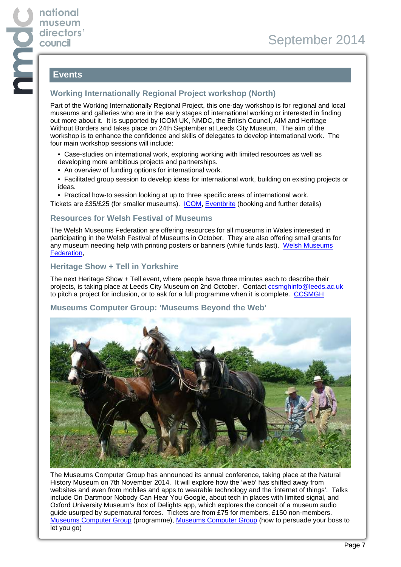# **Events**

# **Working Internationally Regional Project workshop (North)**

Part of the Working Internationally Regional Project, this one-day workshop is for regional and local museums and galleries who are in the early stages of international working or interested in finding out more about it. It is supported by ICOM UK, NMDC, the British Council, AIM and Heritage Without Borders and takes place on 24th September at Leeds City Museum. The aim of the workshop is to enhance the confidence and skills of delegates to develop international work. The four main workshop sessions will include:

- Case-studies on international work, exploring working with limited resources as well as developing more ambitious projects and partnerships.
- An overview of funding options for international work.
- Facilitated group session to develop ideas for international work, building on existing projects or ideas.
- Practical how-to session looking at up to three specific areas of international work.

Tickets are £35/£25 (for smaller museums). [ICOM](http://uk.icom.museum/), [Eventbrite](https://www.eventbrite.co.uk/e/working-internationally-regional-project-workshop-north-tickets-12543121815) (booking and further details)

## **Resources for Welsh Festival of Museums**

The Welsh Museums Federation are offering resources for all museums in Wales interested in participating in the Welsh Festival of Museums in October. They are also offering small grants for any museum needing help with printing posters or banners (while funds last). [Welsh Museums](http://welshmuseumsfederation.org/en/resources-landing/marketing/welsh-museums-festival.html) [Federation,](http://welshmuseumsfederation.org/en/resources-landing/marketing/welsh-museums-festival.html)

## **Heritage Show + Tell in Yorkshire**

The next Heritage Show + Tell event, where people have three minutes each to describe their projects, is taking place at Leeds City Museum on 2nd October. Contact cosmghinfo@leeds.ac.uk to pitch a project for inclusion, or to ask for a full programme when it is complete. [CCSMGH](http://www.ccsmgh.leeds.ac.uk/news/heritage-show-tell-2-october-2014-call-for-speakers/)

#### **Museums Computer Group: 'Museums Beyond the Web'**



The Museums Computer Group has announced its annual conference, taking place at the Natural History Museum on 7th November 2014. It will explore how the 'web' has shifted away from websites and even from mobiles and apps to wearable technology and the 'internet of things'. Talks include On Dartmoor Nobody Can Hear You Google, about tech in places with limited signal, and Oxford University Museum's Box of Delights app, which explores the conceit of a museum audio guide usurped by supernatural forces. Tickets are from £75 for members, £150 non-members. [Museums Computer Group](http://museumscomputergroup.org.uk/2014/08/12/ukmw14-programme/) (programme), [Museums Computer Group](http://museumscomputergroup.org.uk/2014/09/01/attend-ukmw2014-museums-beyond-web/) (how to persuade your boss to let you go)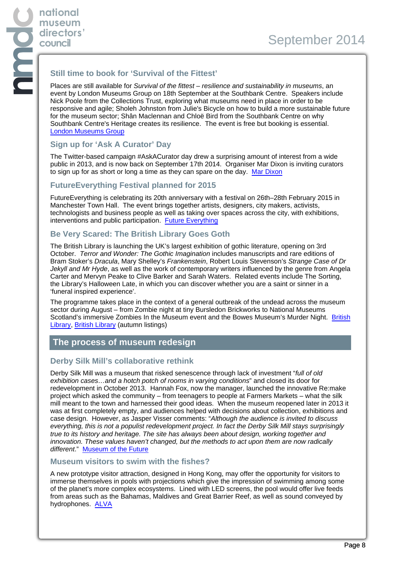**national museum directors' council**

# **Still time to book for 'Survival of the Fittest'**

Places are still available for Survival of the fittest – resilience and sustainability in museums, an event by London Museums Group on 18th September at the Southbank Centre. Speakers include Nick Poole from the Collections Trust, exploring what museums need in place in order to be responsive and agile; Sholeh Johnston from Julie's Bicycle on how to build a more sustainable future for the museum sector; Shân Maclennan and Chloë Bird from the Southbank Centre on why Southbank Centre's Heritage creates its resilience. The event is free but booking is essential. [London Museums Group](http://www.londonmuseumsgroup.org/lmg-events/survival-of-the-fittest/)

# **Sign up for 'Ask A Curator' Day**

The Twitter-based campaign #AskACurator day drew a surprising amount of interest from a wide public in 2013, and is now back on September 17th 2014. Organiser Mar Dixon is inviting curators to sign up for as short or long a time as they can spare on the day. [Mar Dixon](http://www.mardixon.com/wordpress/askacurator-day/)

# **FutureEverything Festival planned for 2015**

FutureEverything is celebrating its 20th anniversary with a festival on 26th–28th February 2015 in Manchester Town Hall. The event brings together artists, designers, city makers, activists, technologists and business people as well as taking over spaces across the city, with exhibitions, interventions and public participation. [Future Everything](http://futureeverything.org/news/2015-festival-tickets/)

# **Be Very Scared: The British Library Goes Goth**

The British Library is launching the UK's largest exhibition of gothic literature, opening on 3rd October. Terror and Wonder: The Gothic Imagination includes manuscripts and rare editions of Bram Stoker's Dracula, Mary Shelley's Frankenstein, Robert Louis Stevenson's Strange Case of Dr Jekyll and Mr Hyde, as well as the work of contemporary writers influenced by the genre from Angela Carter and Mervyn Peake to Clive Barker and Sarah Waters. Related events include The Sorting, the Library's Halloween Late, in which you can discover whether you are a saint or sinner in a 'funeral inspired experience'.

The programme takes place in the context of a general outbreak of the undead across the museum sector during August – from Zombie night at tiny Bursledon Brickworks to National Museums Scotland's immersive Zombies In the Museum event and the Bowes Museum's Murder Night. [British](https://pressandpolicy.bl.uk/Press-Releases/Terror-and-Wonder-The-Gothic-Imagination-6bc.aspx) [Library](https://pressandpolicy.bl.uk/Press-Releases/Terror-and-Wonder-The-Gothic-Imagination-6bc.aspx), [British Library](https://pressandpolicy.bl.uk/Press-Releases/Autumn-2014-at-the-Library-brings-the-launch-of-Terror-and-Wonder-The-Gothic-Imagination-a-peek-in-6be.aspx) (autumn listings)

# **The process of museum redesign**

#### **Derby Silk Mill's collaborative rethink**

Derby Silk Mill was a museum that risked senescence through lack of investment "full of old exhibition cases…and a hotch potch of rooms in varying conditions" and closed its door for redevelopment in October 2013. Hannah Fox, now the manager, launched the innovative Re:make project which asked the community – from teenagers to people at Farmers Markets – what the silk mill meant to the town and harnessed their good ideas. When the museum reopened later in 2013 it was at first completely empty, and audiences helped with decisions about collection, exhibitions and case design. However, as Jasper Visser comments: "Although the audience is invited to discuss everything, this is not a populist redevelopment project. In fact the Derby Silk Mill stays surprisingly true to its history and heritage. The site has always been about design, working together and innovation. These values haven't changed, but the methods to act upon them are now radically different." [Museum of the Future](http://themuseumofthefuture.com/2014/07/21/the-convincing-transformation-process-of-the-derby-silk-mill/)

#### **Museum visitors to swim with the fishes?**

A new prototype visitor attraction, designed in Hong Kong, may offer the opportunity for visitors to immerse themselves in pools with projections which give the impression of swimming among some of the planet's more complex ecosystems. Lined with LED screens, the pool would offer live feeds from areas such as the Bahamas, Maldives and Great Barrier Reef, as well as sound conveyed by hydrophones. [ALVA](http://www.alva.org.uk/details.cfm?p=413&codeid=311091)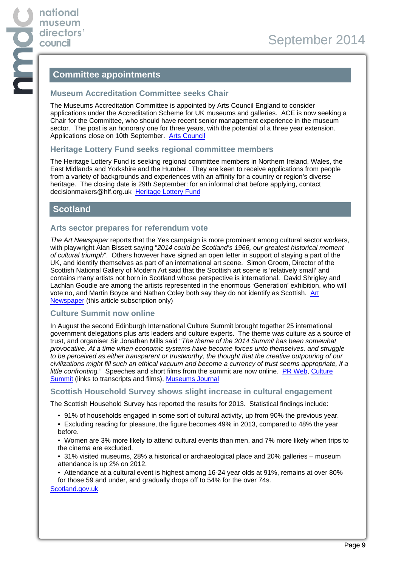## **Committee appointments**

#### **Museum Accreditation Committee seeks Chair**

The Museums Accreditation Committee is appointed by Arts Council England to consider applications under the Accreditation Scheme for UK museums and galleries. ACE is now seeking a Chair for the Committee, who should have recent senior management experience in the museum sector. The post is an honorary one for three years, with the potential of a three year extension. Applications close on 10th September. [Arts Council](http://www.artscouncil.org.uk/what-we-do/supporting-museums/accreditation-scheme/accreditation-committee/)

#### **Heritage Lottery Fund seeks regional committee members**

The Heritage Lottery Fund is seeking regional committee members in Northern Ireland, Wales, the East Midlands and Yorkshire and the Humber. They are keen to receive applications from people from a variety of backgrounds and experiences with an affinity for a country or region's diverse heritage. The closing date is 29th September: for an informal chat before applying, contact decisionmakers@hlf.org.uk [Heritage Lottery Fund](https://forms.hlf.org.uk/applications/HLFCommittees_PublicPortal.ofml)

# **Scotland**

#### **Arts sector prepares for referendum vote**

The Art Newspaper reports that the Yes campaign is more prominent among cultural sector workers, with playwright Alan Bissett saying "2014 could be Scotland's 1966, our greatest historical moment of cultural triumph". Others however have signed an open letter in support of staying a part of the UK, and identify themselves as part of an international art scene. Simon Groom, Director of the Scottish National Gallery of Modern Art said that the Scottish art scene is 'relatively small' and contains many artists not born in Scotland whose perspective is international. David Shrigley and Lachlan Goudie are among the artists represented in the enormous 'Generation' exhibition, who will vote no, and Martin Boyce and Nathan Coley both say they do not identify as Scottish. [Art](http://www.theartnewspaper.com/) [Newspaper](http://www.theartnewspaper.com/) (this article subscription only)

#### **Culture Summit now online**

In August the second Edinburgh International Culture Summit brought together 25 international government delegations plus arts leaders and culture experts. The theme was culture as a source of trust, and organiser Sir Jonathan Mills said "The theme of the 2014 Summit has been somewhat provocative. At a time when economic systems have become forces unto themselves, and struggle to be perceived as either transparent or trustworthy, the thought that the creative outpouring of our civilizations might fill such an ethical vacuum and become a currency of trust seems appropriate, if a little confronting." Speeches and short films from the summit are now online. [PR Web,](http://uk.prweb.com/releases/2014/08/prweb12098684.htm) [Culture](http://www.culturesummit.com/2014-speeches) [Summit](http://www.culturesummit.com/2014-speeches) (links to transcripts and films), [Museums Journal](http://www.museumsassociation.org/museums-journal/news/15082014-governments-should-put-culture-at-heart-public-policy)

#### **Scottish Household Survey shows slight increase in cultural engagement**

The Scottish Household Survey has reported the results for 2013. Statistical findings include:

- 91% of households engaged in some sort of cultural activity, up from 90% the previous year.
- Excluding reading for pleasure, the figure becomes 49% in 2013, compared to 48% the year before.
- Women are 3% more likely to attend cultural events than men, and 7% more likely when trips to the cinema are excluded.
- 31% visited museums, 28% a historical or archaeological place and 20% galleries museum attendance is up 2% on 2012.
- Attendance at a cultural event is highest among 16-24 year olds at 91%, remains at over 80% for those 59 and under, and gradually drops off to 54% for the over 74s.

#### [Scotland.gov.uk](http://www.scotland.gov.uk/Publications/2014/08/7973/13)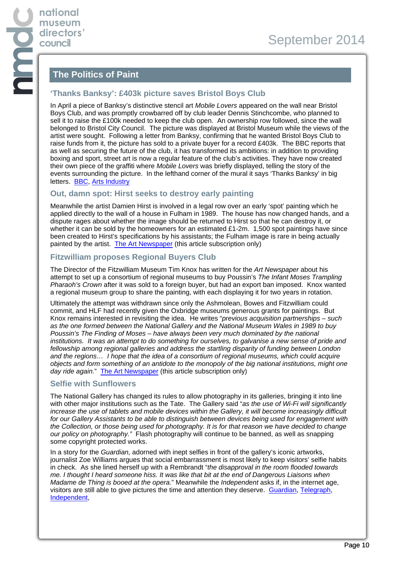# **The Politics of Paint**

## **'Thanks Banksy': £403k picture saves Bristol Boys Club**

In April a piece of Banksy's distinctive stencil art *Mobile Lovers* appeared on the wall near Bristol Boys Club, and was promptly crowbarred off by club leader Dennis Stinchcombe, who planned to sell it to raise the £100k needed to keep the club open. An ownership row followed, since the wall belonged to Bristol City Council. The picture was displayed at Bristol Museum while the views of the artist were sought. Following a letter from Banksy, confirming that he wanted Bristol Boys Club to raise funds from it, the picture has sold to a private buyer for a record £403k. The BBC reports that as well as securing the future of the club, it has transformed its ambitions: in addition to providing boxing and sport, street art is now a regular feature of the club's activities. They have now created their own piece of the graffiti where Mobile Lovers was briefly displayed, telling the story of the events surrounding the picture. In the lefthand corner of the mural it says 'Thanks Banksy' in big letters. [BBC,](http://www.bbc.co.uk/news/entertainment-arts-28960664) [Arts Industry](http://www.artsindustry.co.uk/latest-news/banksy-sold-for-400000/966)

## **Out, damn spot: Hirst seeks to destroy early painting**

Meanwhile the artist Damien Hirst is involved in a legal row over an early 'spot' painting which he applied directly to the wall of a house in Fulham in 1989. The house has now changed hands, and a dispute rages about whether the image should be returned to Hirst so that he can destroy it, or whether it can be sold by the homeowners for an estimated £1-2m. 1,500 spot paintings have since been created to Hirst's specifications by his assistants; the Fulham image is rare in being actually painted by the artist. [The Art Newspaper](http://www.theartnewspaper.com/) (this article subscription only)

## **Fitzwilliam proposes Regional Buyers Club**

The Director of the Fitzwilliam Museum Tim Knox has written for the Art Newspaper about his attempt to set up a consortium of regional museums to buy Poussin's The Infant Moses Trampling Pharaoh's Crown after it was sold to a foreign buyer, but had an export ban imposed. Knox wanted a regional museum group to share the painting, with each displaying it for two years in rotation.

Ultimately the attempt was withdrawn since only the Ashmolean, Bowes and Fitzwilliam could commit, and HLF had recently given the Oxbridge museums generous grants for paintings. But Knox remains interested in revisiting the idea. He writes "previous acquisition partnerships – such as the one formed between the National Gallery and the National Museum Wales in 1989 to buy Poussin's The Finding of Moses – have always been very much dominated by the national institutions. It was an attempt to do something for ourselves, to galvanise a new sense of pride and fellowship among regional galleries and address the startling disparity of funding between London and the regions… I hope that the idea of a consortium of regional museums, which could acquire objects and form something of an antidote to the monopoly of the big national institutions, might one day ride again." [The Art Newspaper](http://www.theartnewspaper.com/) (this article subscription only)

#### **Selfie with Sunflowers**

The National Gallery has changed its rules to allow photography in its galleries, bringing it into line with other major institutions such as the Tate. The Gallery said "as the use of Wi-Fi will significantly increase the use of tablets and mobile devices within the Gallery, it will become increasingly difficult for our Gallery Assistants to be able to distinguish between devices being used for engagement with the Collection, or those being used for photography. It is for that reason we have decided to change our policy on photography." Flash photography will continue to be banned, as well as snapping some copyright protected works.

In a story for the Guardian, adorned with inept selfies in front of the gallery's iconic artworks, journalist Zoe Williams argues that social embarrassment is most likely to keep visitors' selfie habits in check. As she lined herself up with a Rembrandt "the disapproval in the room flooded towards me. I thought I heard someone hiss. It was like that bit at the end of Dangerous Liaisons when Madame de Thing is booed at the opera." Meanwhile the Independent asks if, in the internet age, visitors are still able to give pictures the time and attention they deserve. [Guardian](http://www.theguardian.com/artanddesign/2014/aug/15/selfie-portrait-artist-national-gallery-surrenders-to-internet), [Telegraph](http://www.telegraph.co.uk/culture/art/art-news/11028015/National-Gallery-relents-over-mobile-phones.html), [Independent](http://www.independent.co.uk/arts-entertainment/art/news/cameraphones-at-the-national-gallery-stoke-fears-that-technology-is-leaving-us-incapable-of-deep-engagement-with-anything-9673776.html),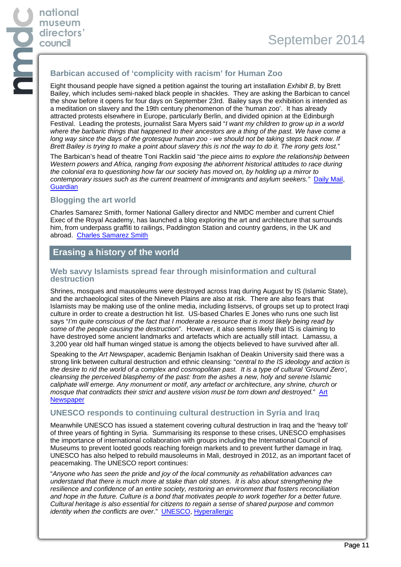## **Barbican accused of 'complicity with racism' for Human Zoo**

Eight thousand people have signed a petition against the touring art installation Exhibit B, by Brett Bailey, which includes semi-naked black people in shackles. They are asking the Barbican to cancel the show before it opens for four days on September 23rd. Bailey says the exhibition is intended as a meditation on slavery and the 19th century phenomenon of the 'human zoo'. It has already attracted protests elsewhere in Europe, particularly Berlin, and divided opinion at the Edinburgh Festival. Leading the protests, journalist Sara Myers said "I want my children to grow up in a world where the barbaric things that happened to their ancestors are a thing of the past. We have come a long way since the days of the grotesque human zoo - we should not be taking steps back now. If Brett Bailey is trying to make a point about slavery this is not the way to do it. The irony gets lost."

The Barbican's head of theatre Toni Racklin said "the piece aims to explore the relationship between Western powers and Africa, ranging from exposing the abhorrent historical attitudes to race during the colonial era to questioning how far our society has moved on, by holding up a mirror to contemporary issues such as the current treatment of immigrants and asylum seekers." [Daily Mail](http://www.dailymail.co.uk/news/article-2736721/Art-exhibition-London-gallery-branded-racist-using-black-actors-dressed-slaves.html), **[Guardian](http://www.theguardian.com/artanddesign/2014/aug/28/exhibition-b-barbican-protest-petition)** 

#### **Blogging the art world**

Charles Samarez Smith, former National Gallery director and NMDC member and current Chief Exec of the Royal Academy, has launched a blog exploring the art and architecture that surrounds him, from underpass graffiti to railings, Paddington Station and country gardens, in the UK and abroad. [Charles Samarez Smith](http://charlessaumarezsmith.com/)

# **Erasing a history of the world**

#### **Web savvy Islamists spread fear through misinformation and cultural destruction**

Shrines, mosques and mausoleums were destroyed across Iraq during August by IS (Islamic State), and the archaeological sites of the Nineveh Plains are also at risk. There are also fears that Islamists may be making use of the online media, including listservs, of groups set up to protect Iraqi culture in order to create a destruction hit list. US-based Charles E Jones who runs one such list says "I'm quite conscious of the fact that I moderate a resource that is most likely being read by some of the people causing the destruction". However, it also seems likely that IS is claiming to have destroyed some ancient landmarks and artefacts which are actually still intact. Lamassu, a 3,200 year old half human winged statue is among the objects believed to have survived after all.

Speaking to the Art Newspaper, academic Benjamin Isakhan of Deakin University said there was a strong link between cultural destruction and ethnic cleansing: "central to the IS ideology and action is the desire to rid the world of a complex and cosmopolitan past. It is a type of cultural 'Ground Zero', cleansing the perceived blasphemy of the past: from the ashes a new, holy and serene Islamic caliphate will emerge. Any monument or motif, any artefact or architecture, any shrine, church or mosque that contradicts their strict and austere vision must be torn down and destroyed." [Art](http://www.theartnewspaper.com/articles/Iraq-and-Syrias-cultural-heritage-face-new-threat-from-fanatics/33467) **[Newspaper](http://www.theartnewspaper.com/articles/Iraq-and-Syrias-cultural-heritage-face-new-threat-from-fanatics/33467)** 

#### **UNESCO responds to continuing cultural destruction in Syria and Iraq**

Meanwhile UNESCO has issued a statement covering cultural destruction in Iraq and the 'heavy toll' of three years of fighting in Syria. Summarising its response to these crises, UNESCO emphasises the importance of international collaboration with groups including the International Council of Museums to prevent looted goods reaching foreign markets and to prevent further damage in Iraq. UNESCO has also helped to rebuild mausoleums in Mali, destroyed in 2012, as an important facet of peacemaking. The UNESCO report continues:

"Anyone who has seen the pride and joy of the local community as rehabilitation advances can understand that there is much more at stake than old stones. It is also about strengthening the resilience and confidence of an entire society, restoring an environment that fosters reconciliation and hope in the future. Culture is a bond that motivates people to work together for a better future. Cultural heritage is also essential for citizens to regain a sense of shared purpose and common identity when the conflicts are over." [UNESCO,](http://whc.unesco.org/en/news/1176) [Hyperallergic](http://hyperallergic.com/143910/cultural-destruction-by-islamic-state-continues-with-no-end-in-sight/)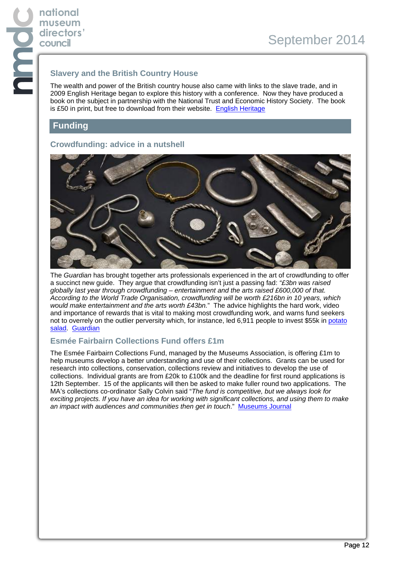**national museum directors' council**

## **Slavery and the British Country House**

The wealth and power of the British country house also came with links to the slave trade, and in 2009 English Heritage began to explore this history with a conference. Now they have produced a book on the subject in partnership with the National Trust and Economic History Society. The book is £50 in print, but free to download from their website. [English Heritage](http://www.english-heritage.org.uk/publications/slavery-and-british-country-house/?utm_source=Hootsuite&awc=5928_1409670285_362df0b09c6e86457a5993b2850ea616)

# **Funding**

# **Crowdfunding: advice in a nutshell**



The Guardian has brought together arts professionals experienced in the art of crowdfunding to offer a succinct new guide. They argue that crowdfunding isn't just a passing fad: "£3bn was raised globally last year through crowdfunding – entertainment and the arts raised £600,000 of that. According to the World Trade Organisation, crowdfunding will be worth £216bn in 10 years, which would make entertainment and the arts worth £43bn." The advice highlights the hard work, video and importance of rewards that is vital to making most crowdfunding work, and warns fund seekers not to overrely on the outlier perversity which, for instance, led 6,911 people to invest \$55k in [potato](https://www.kickstarter.com/projects/324283889/potato-salad) [salad.](https://www.kickstarter.com/projects/324283889/potato-salad) [Guardian](http://www.theguardian.com/culture-professionals-network/culture-professionals-blog/2014/aug/20/crowdfunding-arts-top-tips-experts)

# **Esmée Fairbairn Collections Fund offers £1m**

The Esmée Fairbairn Collections Fund, managed by the Museums Association, is offering £1m to help museums develop a better understanding and use of their collections. Grants can be used for research into collections, conservation, collections review and initiatives to develop the use of collections. Individual grants are from £20k to £100k and the deadline for first round applications is 12th September. 15 of the applicants will then be asked to make fuller round two applications. The MA's collections co-ordinator Sally Colvin said "The fund is competitive, but we always look for exciting projects. If you have an idea for working with significant collections, and using them to make an impact with audiences and communities then get in touch." [Museums Journal](http://www.museumsassociation.org/news/03092014-last-call-esmee-fairbairn-collections-fund)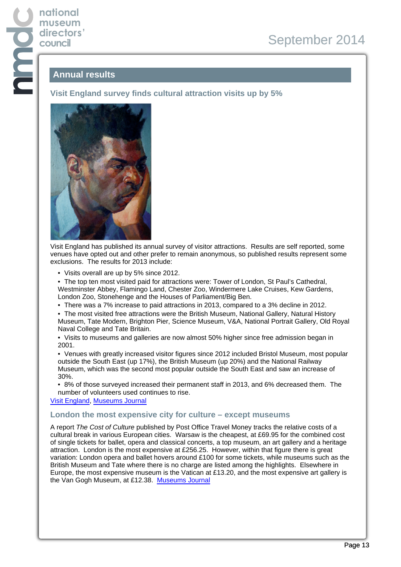**museum directors' council**

# September 2014

# **Annual results**

**Visit England survey finds cultural attraction visits up by 5%**



Visit England has published its annual survey of visitor attractions. Results are self reported, some venues have opted out and other prefer to remain anonymous, so published results represent some exclusions. The results for 2013 include:

• Visits overall are up by 5% since 2012.

• The top ten most visited paid for attractions were: Tower of London, St Paul's Cathedral, Westminster Abbey, Flamingo Land, Chester Zoo, Windermere Lake Cruises, Kew Gardens, London Zoo, Stonehenge and the Houses of Parliament/Big Ben.

• There was a 7% increase to paid attractions in 2013, compared to a 3% decline in 2012.

• The most visited free attractions were the British Museum, National Gallery, Natural History Museum, Tate Modern, Brighton Pier, Science Museum, V&A, National Portrait Gallery, Old Royal Naval College and Tate Britain.

• Visits to museums and galleries are now almost 50% higher since free admission began in 2001.

• Venues with greatly increased visitor figures since 2012 included Bristol Museum, most popular outside the South East (up 17%), the British Museum (up 20%) and the National Railway Museum, which was the second most popular outside the South East and saw an increase of 30%.

• 8% of those surveyed increased their permanent staff in 2013, and 6% decreased them. The number of volunteers used continues to rise.

[Visit England](http://www.visitengland.org/insight-statistics/major-tourism-surveys/attractions/Annual_Survey/index.aspx), [Museums Journal](http://www.museumsassociation.org/museums-journal/news/26082014-english-museums-see-4-percent-rise-in-2013)

#### **London the most expensive city for culture – except museums**

A report The Cost of Culture published by Post Office Travel Money tracks the relative costs of a cultural break in various European cities. Warsaw is the cheapest, at £69.95 for the combined cost of single tickets for ballet, opera and classical concerts, a top museum, an art gallery and a heritage attraction. London is the most expensive at £256.25. However, within that figure there is great variation: London opera and ballet hovers around £100 for some tickets, while museums such as the British Museum and Tate where there is no charge are listed among the highlights. Elsewhere in Europe, the most expensive museum is the Vatican at £13.20, and the most expensive art gallery is the Van Gogh Museum, at £12.38. [Museums Journal](http://www.museumsassociation.org/museums-journal/news/27082014-londons-museums-best-value-institutions-in-europe)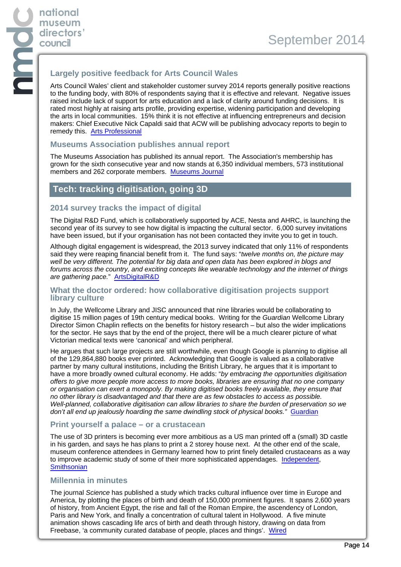# **Largely positive feedback for Arts Council Wales**

Arts Council Wales' client and stakeholder customer survey 2014 reports generally positive reactions to the funding body, with 80% of respondents saying that it is effective and relevant. Negative issues raised include lack of support for arts education and a lack of clarity around funding decisions. It is rated most highly at raising arts profile, providing expertise, widening participation and developing the arts in local communities. 15% think it is not effective at influencing entrepreneurs and decision makers: Chief Executive Nick Capaldi said that ACW will be publishing advocacy reports to begin to remedy this. [Arts Professional](http://www.artsprofessional.co.uk/news/arts-council-wales-given-thumbs-most-clients)

#### **Museums Association publishes annual report**

The Museums Association has published its annual report. The Association's membership has grown for the sixth consecutive year and now stands at 6,350 individual members, 573 institutional members and 262 corporate members. [Museums Journal](http://www.museumsassociation.org/news/02092014-ma-publishes-annual-report-for-2013-14)

# **Tech: tracking digitisation, going 3D**

#### **2014 survey tracks the impact of digital**

The Digital R&D Fund, which is collaboratively supported by ACE, Nesta and AHRC, is launching the second year of its survey to see how digital is impacting the cultural sector. 6,000 survey invitations have been issued, but if your organisation has not been contacted they invite you to get in touch.

Although digital engagement is widespread, the 2013 survey indicated that only 11% of respondents said they were reaping financial benefit from it. The fund says: "twelve months on, the picture may well be very different. The potential for big data and open data has been explored in blogs and forums across the country, and exciting concepts like wearable technology and the internet of things are gathering pace." [ArtsDigitalR&D](http://artsdigitalrnd.org.uk/digitalcultureresearch/)

#### **What the doctor ordered: how collaborative digitisation projects support library culture**

In July, the Wellcome Library and JISC announced that nine libraries would be collaborating to digitise 15 million pages of 19th century medical books. Writing for the Guardian Wellcome Library Director Simon Chaplin reflects on the benefits for history research – but also the wider implications for the sector. He says that by the end of the project, there will be a much clearer picture of what Victorian medical texts were 'canonical' and which peripheral.

He argues that such large projects are still worthwhile, even though Google is planning to digitise all of the 129,864,880 books ever printed. Acknowledging that Google is valued as a collaborative partner by many cultural institutions, including the British Library, he argues that it is important to have a more broadly owned cultural economy. He adds: "by embracing the opportunities digitisation offers to give more people more access to more books, libraries are ensuring that no one company or organisation can exert a monopoly. By making digitised books freely available, they ensure that no other library is disadvantaged and that there are as few obstacles to access as possible. Well-planned, collaborative digitisation can allow libraries to share the burden of preservation so we don't all end up jealously hoarding the same dwindling stock of physical books." [Guardian](http://www.theguardian.com/culture-professionals-network/culture-professionals-blog/2014/aug/28/digital-digitisation-libraries-books-wellcome?CMP=new_1194)

#### **Print yourself a palace – or a crustacean**

The use of 3D printers is becoming ever more ambitious as a US man printed off a (small) 3D castle in his garden, and says he has plans to print a 2 storey house next. At the other end of the scale, museum conference attendees in Germany learned how to print finely detailed crustaceans as a way to improve academic study of some of their more sophisticated appendages. [Independent,](http://www.independent.co.uk/life-style/gadgets-and-tech/worlds-first-3d-printed-castle-built-in-america-9693936.html) **[Smithsonian](http://nmnh.typepad.com/no_bones/2014/09/traveling-near-and-far-just-to-talk-about-crustaceans.html)** 

#### **Millennia in minutes**

The journal Science has published a study which tracks cultural influence over time in Europe and America, by plotting the places of birth and death of 150,000 prominent figures. It spans 2,600 years of history, from Ancient Egypt, the rise and fall of the Roman Empire, the ascendency of London, Paris and New York, and finally a concentration of cultural talent in Hollywood. A five minute animation shows cascading life arcs of birth and death through history, drawing on data from Freebase, 'a community curated database of people, places and things'. [Wired](http://www.wired.com/2014/08/an-infographic-that-maps-2600-years-of-cultural-history-in-5-minutes/)